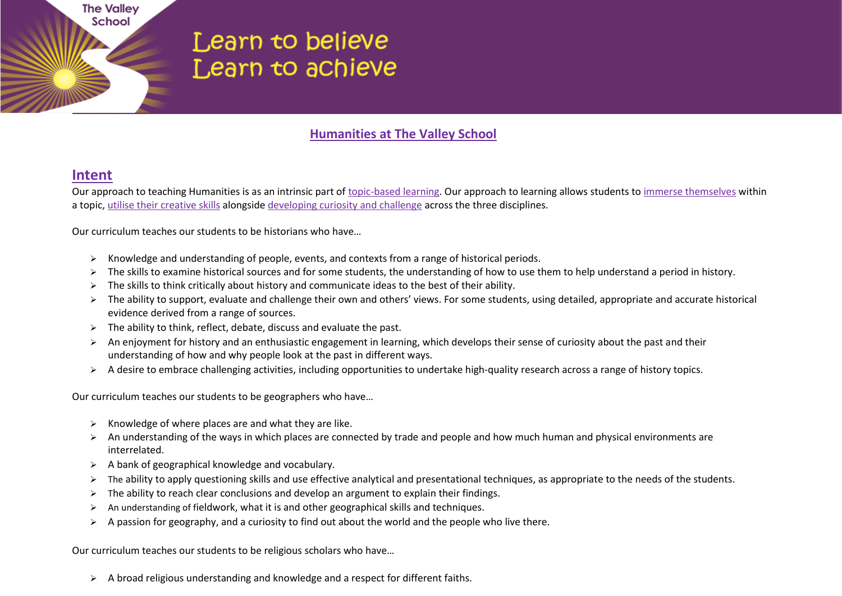# Learn to believe Learn to achieve

#### **Humanities at The Valley School**

#### **Intent**

**The Valley** School

Our approach to teaching Humanities is as an intrinsic part of topic-based learning. Our approach to learning allows students to immerse themselves within a topic, utilise their creative skills alongside developing curiosity and challenge across the three disciplines.

Our curriculum teaches our students to be historians who have…

- $\triangleright$  Knowledge and understanding of people, events, and contexts from a range of historical periods.
- > The skills to examine historical sources and for some students, the understanding of how to use them to help understand a period in history.
- $\triangleright$  The skills to think critically about history and communicate ideas to the best of their ability.
- ▶ The ability to support, evaluate and challenge their own and others' views. For some students, using detailed, appropriate and accurate historical evidence derived from a range of sources.
- $\triangleright$  The ability to think, reflect, debate, discuss and evaluate the past.
- $\triangleright$  An enjoyment for history and an enthusiastic engagement in learning, which develops their sense of curiosity about the past and their understanding of how and why people look at the past in different ways.
- A desire to embrace challenging activities, including opportunities to undertake high-quality research across a range of history topics.

Our curriculum teaches our students to be geographers who have…

- $\triangleright$  Knowledge of where places are and what they are like.
- $\triangleright$  An understanding of the ways in which places are connected by trade and people and how much human and physical environments are interrelated.
- $\triangleright$  A bank of geographical knowledge and vocabulary.
- > The ability to apply questioning skills and use effective analytical and presentational techniques, as appropriate to the needs of the students.
- $\triangleright$  The ability to reach clear conclusions and develop an argument to explain their findings.
- $\triangleright$  An understanding of fieldwork, what it is and other geographical skills and techniques.
- $\triangleright$  A passion for geography, and a curiosity to find out about the world and the people who live there.

Our curriculum teaches our students to be religious scholars who have…

 $\triangleright$  A broad religious understanding and knowledge and a respect for different faiths.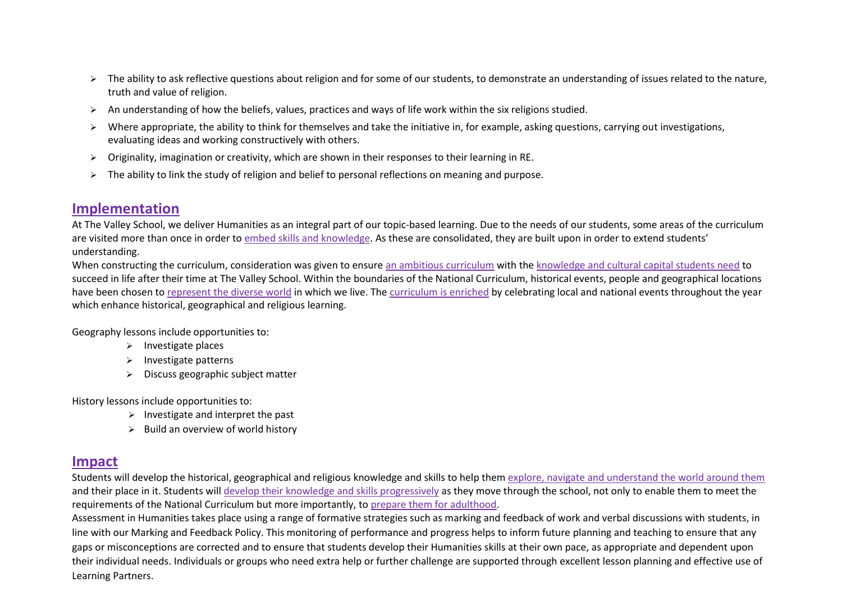- $\triangleright$  The ability to ask reflective questions about religion and for some of our students, to demonstrate an understanding of issues related to the nature, truth and value of religion.
- $\triangleright$  An understanding of how the beliefs, values, practices and ways of life work within the six religions studied.
- ▶ Where appropriate, the ability to think for themselves and take the initiative in, for example, asking questions, carrying out investigations, evaluating ideas and working constructively with others.
- $\triangleright$  Originality, imagination or creativity, which are shown in their responses to their learning in RE.
- $\geq$  The ability to link the study of religion and belief to personal reflections on meaning and purpose.

### **Implementation**

At The Valley School, we deliver Humanities as an integral part of our topic-based learning. Due to the needs of our students, some areas of the curriculum are visited more than once in order to embed skills and knowledge. As these are consolidated, they are built upon in order to extend students' understanding.

When constructing the curriculum, consideration was given to ensure an ambitious curriculum with the knowledge and cultural capital students need to succeed in life after their time at The Valley School. Within the boundaries of the National Curriculum, historical events, people and geographical locations have been chosen to represent the diverse world in which we live. The curriculum is enriched by celebrating local and national events throughout the year which enhance historical, geographical and religious learning.

Geography lessons include opportunities to:

- $\triangleright$  Investigate places
- $\triangleright$  Investigate patterns
- Discuss geographic subject matter

History lessons include opportunities to:

- $\triangleright$  Investigate and interpret the past
- $\triangleright$  Build an overview of world history

## **Impact**

Students will develop the historical, geographical and religious knowledge and skills to help them explore, navigate and understand the world around them and their place in it. Students will develop their knowledge and skills progressively as they move through the school, not only to enable them to meet the requirements of the National Curriculum but more importantly, to prepare them for adulthood.

Assessment in Humanities takes place using a range of formative strategies such as marking and feedback of work and verbal discussions with students, in line with our Marking and Feedback Policy. This monitoring of performance and progress helps to inform future planning and teaching to ensure that any gaps or misconceptions are corrected and to ensure that students develop their Humanities skills at their own pace, as appropriate and dependent upon their individual needs. Individuals or groups who need extra help or further challenge are supported through excellent lesson planning and effective use of Learning Partners.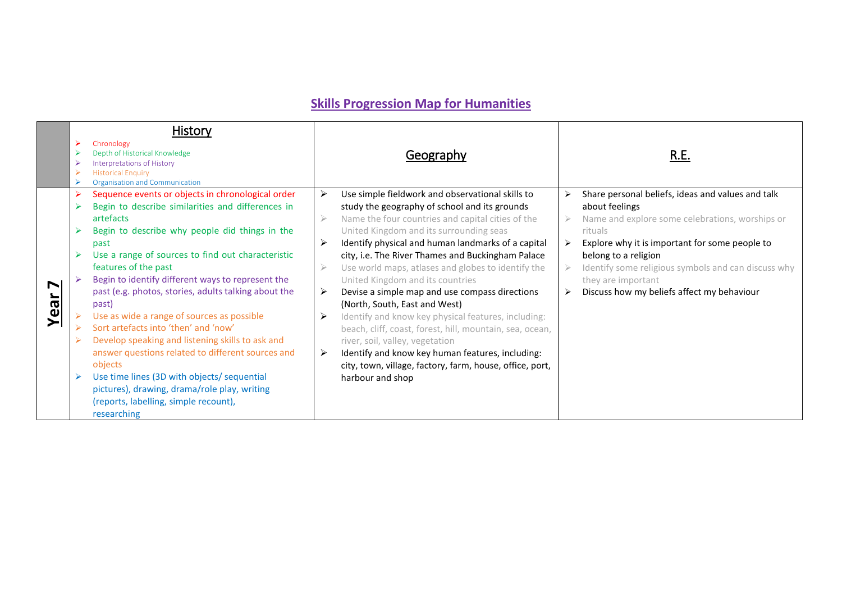# **Skills Progression Map for Humanities**

|      | History                                                                                                                                                                                                                                                                                                                                                                                                                                                                                                                                                                                                                                                                                                                                           |                                                     |                                                                                                                                                                                                                                                                                                                                                                                                                                                                                                                                                                                                                                                                                                                                                                                     |                                                                                                                                                                                                                                                                                                                                        |
|------|---------------------------------------------------------------------------------------------------------------------------------------------------------------------------------------------------------------------------------------------------------------------------------------------------------------------------------------------------------------------------------------------------------------------------------------------------------------------------------------------------------------------------------------------------------------------------------------------------------------------------------------------------------------------------------------------------------------------------------------------------|-----------------------------------------------------|-------------------------------------------------------------------------------------------------------------------------------------------------------------------------------------------------------------------------------------------------------------------------------------------------------------------------------------------------------------------------------------------------------------------------------------------------------------------------------------------------------------------------------------------------------------------------------------------------------------------------------------------------------------------------------------------------------------------------------------------------------------------------------------|----------------------------------------------------------------------------------------------------------------------------------------------------------------------------------------------------------------------------------------------------------------------------------------------------------------------------------------|
|      | Chronology<br>Depth of Historical Knowledge<br>Interpretations of History<br><b>Historical Enquiry</b><br>Organisation and Communication                                                                                                                                                                                                                                                                                                                                                                                                                                                                                                                                                                                                          |                                                     | Geography                                                                                                                                                                                                                                                                                                                                                                                                                                                                                                                                                                                                                                                                                                                                                                           | R.E.                                                                                                                                                                                                                                                                                                                                   |
| Year | Sequence events or objects in chronological order<br>Begin to describe similarities and differences in<br>artefacts<br>Begin to describe why people did things in the<br>past<br>Use a range of sources to find out characteristic<br>features of the past<br>Begin to identify different ways to represent the<br>past (e.g. photos, stories, adults talking about the<br>(past<br>Use as wide a range of sources as possible<br>Sort artefacts into 'then' and 'now'<br>Develop speaking and listening skills to ask and<br>answer questions related to different sources and<br>objects<br>Use time lines (3D with objects/ sequential<br>pictures), drawing, drama/role play, writing<br>(reports, labelling, simple recount),<br>researching | ➤<br>$\geqslant$<br>➤<br>$\geqslant$<br>➤<br>➤<br>➤ | Use simple fieldwork and observational skills to<br>study the geography of school and its grounds<br>Name the four countries and capital cities of the<br>United Kingdom and its surrounding seas<br>Identify physical and human landmarks of a capital<br>city, i.e. The River Thames and Buckingham Palace<br>Use world maps, atlases and globes to identify the<br>United Kingdom and its countries<br>Devise a simple map and use compass directions<br>(North, South, East and West)<br>Identify and know key physical features, including:<br>beach, cliff, coast, forest, hill, mountain, sea, ocean,<br>river, soil, valley, vegetation<br>Identify and know key human features, including:<br>city, town, village, factory, farm, house, office, port,<br>harbour and shop | Share personal beliefs, ideas and values and talk<br>about feelings<br>Name and explore some celebrations, worships or<br>rituals<br>Explore why it is important for some people to<br>belong to a religion<br>Identify some religious symbols and can discuss why<br>they are important<br>Discuss how my beliefs affect my behaviour |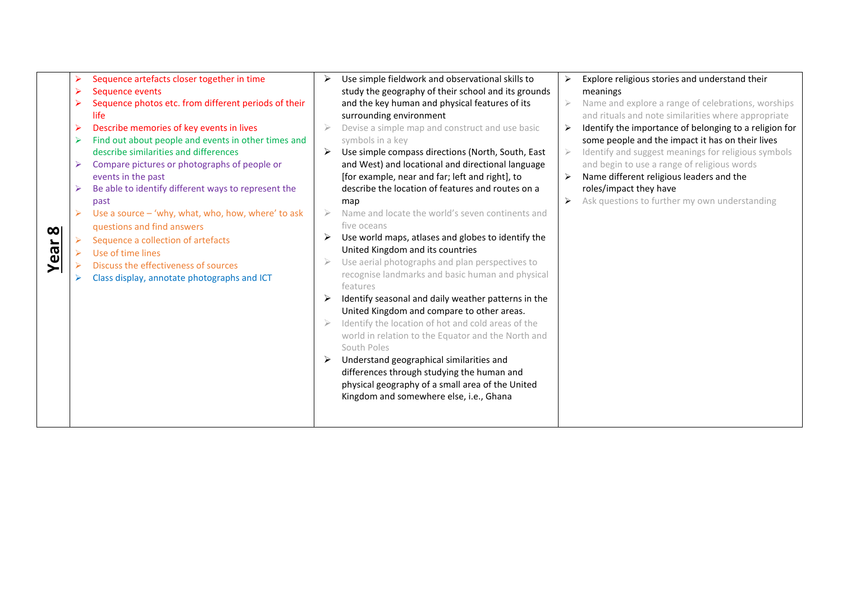| $\infty$<br>Year | Sequence artefacts closer together in time<br>⋗<br>Sequence events<br>➤<br>Sequence photos etc. from different periods of their<br>life<br>Describe memories of key events in lives<br>Find out about people and events in other times and<br>➤<br>describe similarities and differences<br>Compare pictures or photographs of people or<br>⋗<br>events in the past<br>Be able to identify different ways to represent the<br>past<br>Use a source - 'why, what, who, how, where' to ask<br>➤<br>questions and find answers<br>Sequence a collection of artefacts<br>Use of time lines<br>Discuss the effectiveness of sources<br>Class display, annotate photographs and ICT | Use simple fieldwork and observational skills to<br>study the geography of their school and its grounds<br>and the key human and physical features of its<br>surrounding environment<br>Devise a simple map and construct and use basic<br>symbols in a key<br>Use simple compass directions (North, South, East<br>and West) and locational and directional language<br>[for example, near and far; left and right], to<br>describe the location of features and routes on a<br>map<br>Name and locate the world's seven continents and<br>five oceans<br>Use world maps, atlases and globes to identify the<br>United Kingdom and its countries<br>Use aerial photographs and plan perspectives to<br>recognise landmarks and basic human and physical<br>features<br>Identify seasonal and daily weather patterns in the<br>United Kingdom and compare to other areas.<br>Identify the location of hot and cold areas of the<br>world in relation to the Equator and the North and<br>South Poles<br>Understand geographical similarities and<br>differences through studying the human and<br>physical geography of a small area of the United<br>Kingdom and somewhere else, i.e., Ghana | Explore religious stories and understand their<br>meanings<br>Name and explore a range of celebrations, worships<br>and rituals and note similarities where appropriate<br>Identify the importance of belonging to a religion for<br>some people and the impact it has on their lives<br>Identify and suggest meanings for religious symbols<br>and begin to use a range of religious words<br>Name different religious leaders and the<br>roles/impact they have<br>Ask questions to further my own understanding |
|------------------|-------------------------------------------------------------------------------------------------------------------------------------------------------------------------------------------------------------------------------------------------------------------------------------------------------------------------------------------------------------------------------------------------------------------------------------------------------------------------------------------------------------------------------------------------------------------------------------------------------------------------------------------------------------------------------|-----------------------------------------------------------------------------------------------------------------------------------------------------------------------------------------------------------------------------------------------------------------------------------------------------------------------------------------------------------------------------------------------------------------------------------------------------------------------------------------------------------------------------------------------------------------------------------------------------------------------------------------------------------------------------------------------------------------------------------------------------------------------------------------------------------------------------------------------------------------------------------------------------------------------------------------------------------------------------------------------------------------------------------------------------------------------------------------------------------------------------------------------------------------------------------------------|--------------------------------------------------------------------------------------------------------------------------------------------------------------------------------------------------------------------------------------------------------------------------------------------------------------------------------------------------------------------------------------------------------------------------------------------------------------------------------------------------------------------|
|------------------|-------------------------------------------------------------------------------------------------------------------------------------------------------------------------------------------------------------------------------------------------------------------------------------------------------------------------------------------------------------------------------------------------------------------------------------------------------------------------------------------------------------------------------------------------------------------------------------------------------------------------------------------------------------------------------|-----------------------------------------------------------------------------------------------------------------------------------------------------------------------------------------------------------------------------------------------------------------------------------------------------------------------------------------------------------------------------------------------------------------------------------------------------------------------------------------------------------------------------------------------------------------------------------------------------------------------------------------------------------------------------------------------------------------------------------------------------------------------------------------------------------------------------------------------------------------------------------------------------------------------------------------------------------------------------------------------------------------------------------------------------------------------------------------------------------------------------------------------------------------------------------------------|--------------------------------------------------------------------------------------------------------------------------------------------------------------------------------------------------------------------------------------------------------------------------------------------------------------------------------------------------------------------------------------------------------------------------------------------------------------------------------------------------------------------|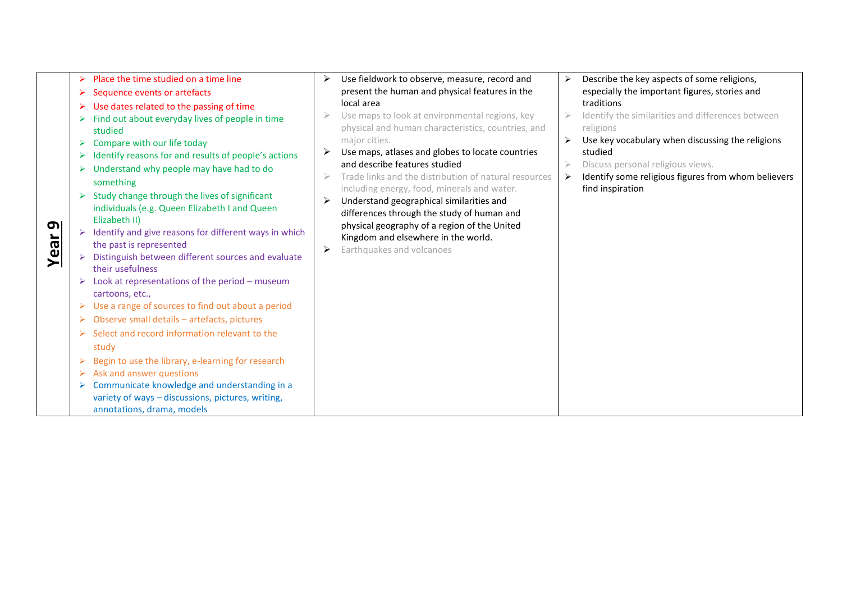| Place the time studied on a time line<br>Sequence events or artefacts<br>➤<br>Use dates related to the passing of time<br>Find out about everyday lives of people in time<br>studied<br>Compare with our life today<br>Identify reasons for and results of people's actions<br>Understand why people may have had to do<br>something<br>Study change through the lives of significant<br>individuals (e.g. Queen Elizabeth I and Queen<br>Elizabeth II)<br>σI<br>Identify and give reasons for different ways in which<br>Year<br>the past is represented<br>Distinguish between different sources and evaluate<br>their usefulness<br>Look at representations of the period - museum<br>➤<br>cartoons, etc.,<br>Use a range of sources to find out about a period<br>➤<br>Observe small details - artefacts, pictures<br>➤<br>Select and record information relevant to the<br>study<br>Begin to use the library, e-learning for research<br>➤<br>Ask and answer questions<br>Communicate knowledge and understanding in a<br>variety of ways - discussions, pictures, writing,<br>annotations, drama, models | Use fieldwork to observe, measure, record and<br>present the human and physical features in the<br>local area<br>Use maps to look at environmental regions, key<br>physical and human characteristics, countries, and<br>major cities.<br>Use maps, atlases and globes to locate countries<br>➤<br>and describe features studied<br>Trade links and the distribution of natural resources<br>including energy, food, minerals and water.<br>Understand geographical similarities and<br>differences through the study of human and<br>physical geography of a region of the United<br>Kingdom and elsewhere in the world.<br>Earthquakes and volcanoes<br>≻ | Describe the key aspects of some religions,<br>especially the important figures, stories and<br>traditions<br>Identify the similarities and differences between<br>religions<br>Use key vocabulary when discussing the religions<br>studied<br>Discuss personal religious views.<br>Identify some religious figures from whom believers<br>find inspiration |
|----------------------------------------------------------------------------------------------------------------------------------------------------------------------------------------------------------------------------------------------------------------------------------------------------------------------------------------------------------------------------------------------------------------------------------------------------------------------------------------------------------------------------------------------------------------------------------------------------------------------------------------------------------------------------------------------------------------------------------------------------------------------------------------------------------------------------------------------------------------------------------------------------------------------------------------------------------------------------------------------------------------------------------------------------------------------------------------------------------------|-------------------------------------------------------------------------------------------------------------------------------------------------------------------------------------------------------------------------------------------------------------------------------------------------------------------------------------------------------------------------------------------------------------------------------------------------------------------------------------------------------------------------------------------------------------------------------------------------------------------------------------------------------------|-------------------------------------------------------------------------------------------------------------------------------------------------------------------------------------------------------------------------------------------------------------------------------------------------------------------------------------------------------------|
|----------------------------------------------------------------------------------------------------------------------------------------------------------------------------------------------------------------------------------------------------------------------------------------------------------------------------------------------------------------------------------------------------------------------------------------------------------------------------------------------------------------------------------------------------------------------------------------------------------------------------------------------------------------------------------------------------------------------------------------------------------------------------------------------------------------------------------------------------------------------------------------------------------------------------------------------------------------------------------------------------------------------------------------------------------------------------------------------------------------|-------------------------------------------------------------------------------------------------------------------------------------------------------------------------------------------------------------------------------------------------------------------------------------------------------------------------------------------------------------------------------------------------------------------------------------------------------------------------------------------------------------------------------------------------------------------------------------------------------------------------------------------------------------|-------------------------------------------------------------------------------------------------------------------------------------------------------------------------------------------------------------------------------------------------------------------------------------------------------------------------------------------------------------|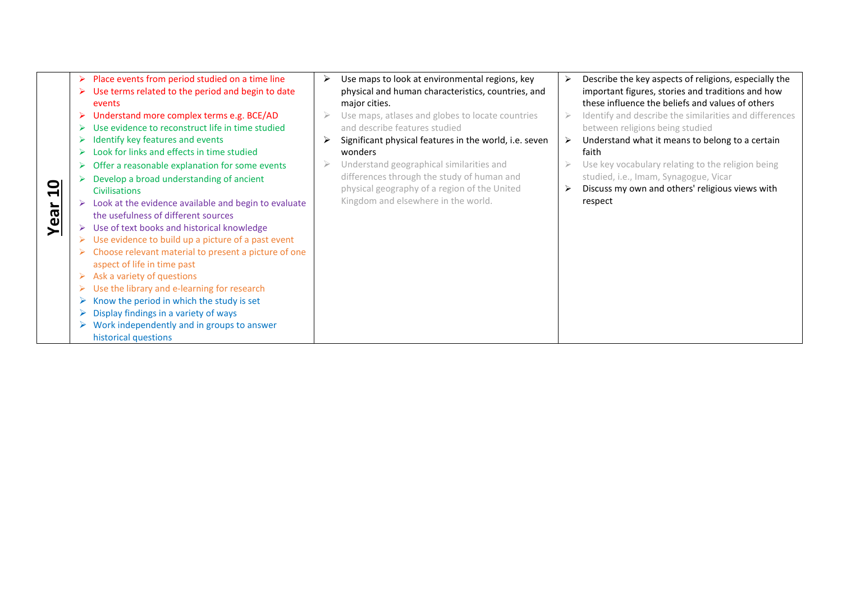|      | Place events from period studied on a time line      | ➤ | Use maps to look at environmental regions, key         | Describe the key aspects of religions, especially the  |
|------|------------------------------------------------------|---|--------------------------------------------------------|--------------------------------------------------------|
|      | Use terms related to the period and begin to date    |   | physical and human characteristics, countries, and     | important figures, stories and traditions and how      |
|      | events                                               |   | major cities.                                          | these influence the beliefs and values of others       |
|      | Understand more complex terms e.g. BCE/AD            |   | Use maps, atlases and globes to locate countries       | Identify and describe the similarities and differences |
|      | Use evidence to reconstruct life in time studied     |   | and describe features studied                          | between religions being studied                        |
|      | Identify key features and events                     |   | Significant physical features in the world, i.e. seven | Understand what it means to belong to a certain        |
|      | Look for links and effects in time studied           |   | wonders                                                | faith                                                  |
|      | Offer a reasonable explanation for some events       |   | Understand geographical similarities and               | Use key vocabulary relating to the religion being      |
|      | Develop a broad understanding of ancient             |   | differences through the study of human and             | studied, i.e., Imam, Synagogue, Vicar                  |
| 의    | <b>Civilisations</b>                                 |   | physical geography of a region of the United           | Discuss my own and others' religious views with        |
|      | Look at the evidence available and begin to evaluate |   | Kingdom and elsewhere in the world.                    | respect                                                |
|      | the usefulness of different sources                  |   |                                                        |                                                        |
| Year | Use of text books and historical knowledge<br>➤      |   |                                                        |                                                        |
|      | Use evidence to build up a picture of a past event   |   |                                                        |                                                        |
|      | Choose relevant material to present a picture of one |   |                                                        |                                                        |
|      | aspect of life in time past                          |   |                                                        |                                                        |
|      | Ask a variety of questions                           |   |                                                        |                                                        |
|      | Use the library and e-learning for research          |   |                                                        |                                                        |
|      | Know the period in which the study is set            |   |                                                        |                                                        |
|      | Display findings in a variety of ways                |   |                                                        |                                                        |
|      | Work independently and in groups to answer           |   |                                                        |                                                        |
|      | historical questions                                 |   |                                                        |                                                        |